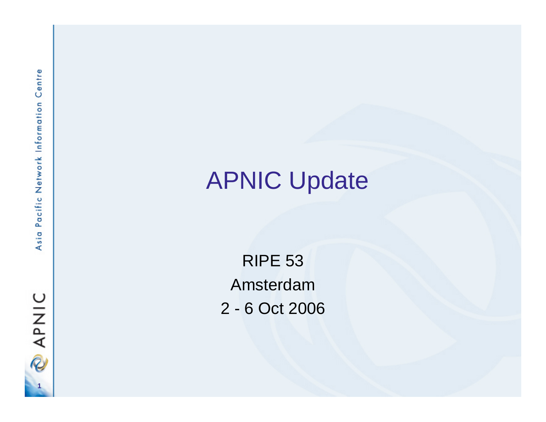

# APNIC Update

RIPE 53 Amsterdam 2 - 6 Oct 2006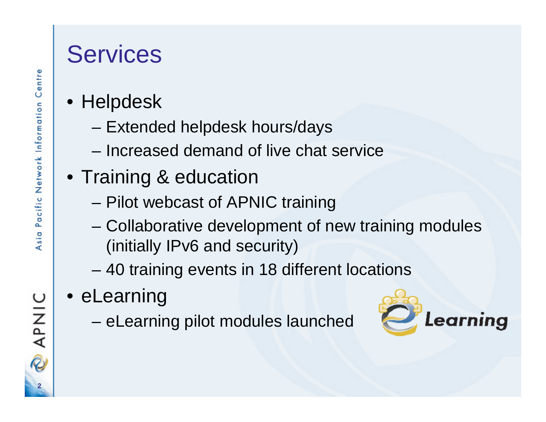#### **Services**

- Centre
- Helpdesk
	- Extended helpdesk hours/days
	- Increased demand of live chat service
- Training & education
	- Pilot webcast of APNIC training
	- – Collaborative development of new training modules (initially IPv6 and security)
	- 40 training events in 18 different locations
- eLearning
	- eLearning pilot modules launched



**2**

**PAPNIC**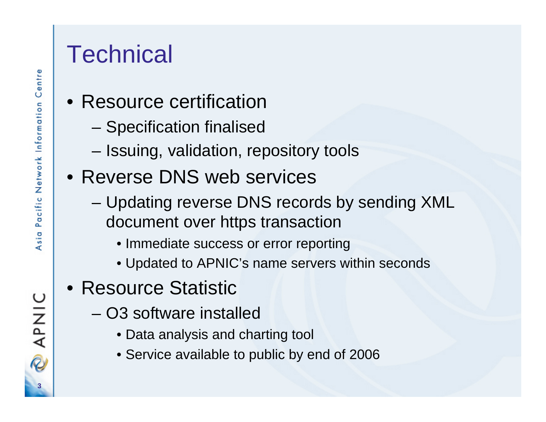#### **Technical**

- Resource certification
	- Specification finalised
	- –Issuing, validation, repository tools
- Reverse DNS web services
	- Updating reverse DNS records by sending XML document over https transaction
		- Immediate success or error reporting
		- Updated to APNIC's name servers within seconds
- Resource Statistic
	- O3 software installed
		- Data analysis and charting tool
		- Service available to public by end of 2006

**3**

**PAPNIC**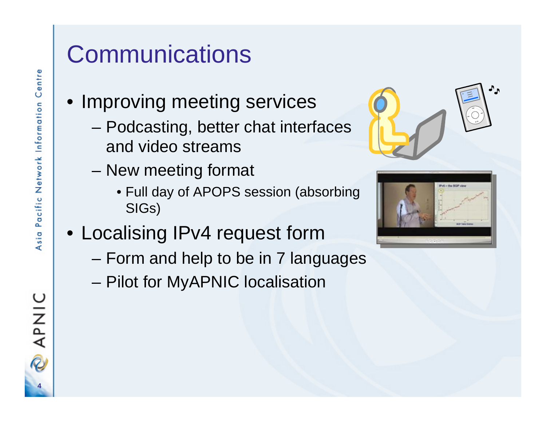## **Communications**

- Improving meeting services
	- Podcasting, better chat interfaces and video streams
	- New meeting format
		- Full day of APOPS session (absorbing SIGs)
- Localising IPv4 request form
	- Form and help to be in 7 languages
	- Pilot for MyAPNIC localisation





**4**

APNIC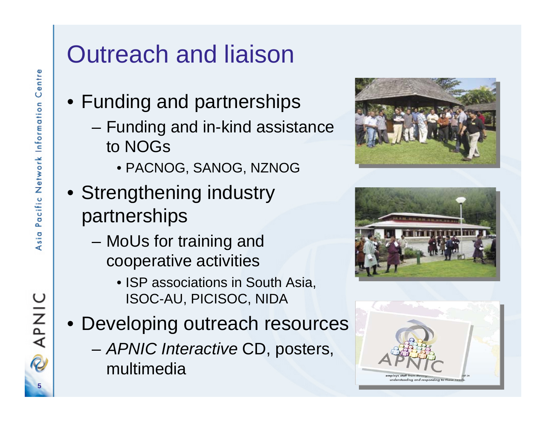# Outreach and liaison

- Funding and partnerships
	- – Funding and in-kind assistance to NOGs
		- PACNOG, SANOG, NZNOG
- Strengthening industry partnerships
	- – MoUs for training and cooperative activities
		- ISP associations in South Asia, ISOC-AU, PICISOC, NIDA
- Developing outreach resources
	- – *APNIC Interactive* CD, posters, multimedia







**5**

APNIC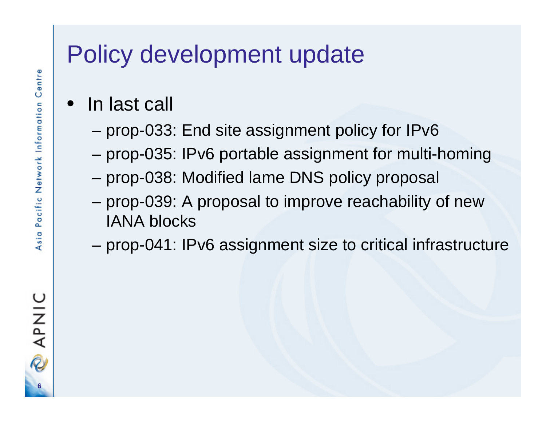## Policy development update

- $\bullet$  In last call
	- –prop-033: End site assignment policy for IPv6
	- prop-035: IPv6 portable assignment for multi-homing
	- prop-038: Modified lame DNS policy proposal
	- prop-039: A proposal to improve reachability of new IANA blocks
	- prop-041: IPv6 assignment size to critical infrastructure

**6**

**PNIC**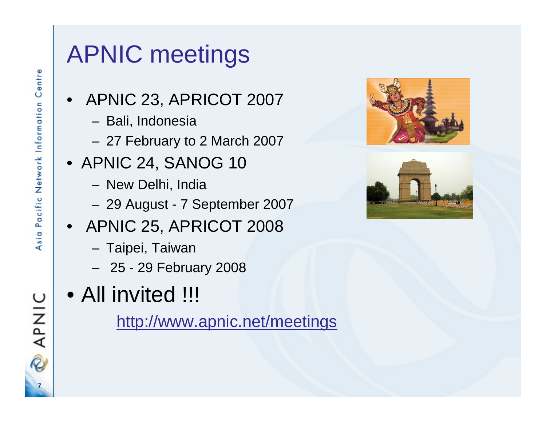## APNIC meetings

- APNIC 23, APRICOT 2007
	- Bali, Indonesia
	- 27 February to 2 March 2007
- APNIC 24, SANOG 10
	- New Delhi, India
	- 29 August 7 September 2007
- APNIC 25, APRICOT 2008
	- Taipei, Taiwan
	- 25 29 February 2008
- All invited !!!

<http://www.apnic.net/meetings>





**7**

**PAANC**